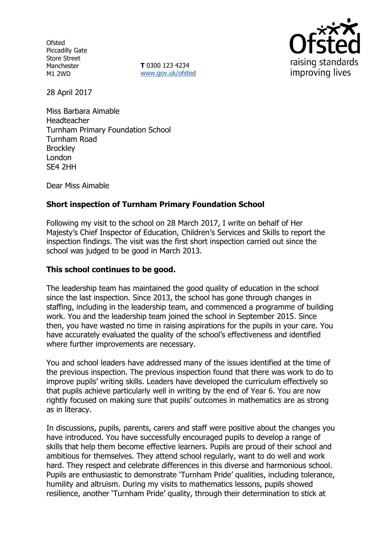**Ofsted** Piccadilly Gate Store Street Manchester M1 2WD

**T** 0300 123 4234 www.gov.uk/ofsted



28 April 2017

Miss Barbara Aimable Headteacher Turnham Primary Foundation School Turnham Road **Brockley** London SE4 2HH

Dear Miss Aimable

# **Short inspection of Turnham Primary Foundation School**

Following my visit to the school on 28 March 2017, I write on behalf of Her Majesty's Chief Inspector of Education, Children's Services and Skills to report the inspection findings. The visit was the first short inspection carried out since the school was judged to be good in March 2013.

## **This school continues to be good.**

The leadership team has maintained the good quality of education in the school since the last inspection. Since 2013, the school has gone through changes in staffing, including in the leadership team, and commenced a programme of building work. You and the leadership team joined the school in September 2015. Since then, you have wasted no time in raising aspirations for the pupils in your care. You have accurately evaluated the quality of the school's effectiveness and identified where further improvements are necessary.

You and school leaders have addressed many of the issues identified at the time of the previous inspection. The previous inspection found that there was work to do to improve pupils' writing skills. Leaders have developed the curriculum effectively so that pupils achieve particularly well in writing by the end of Year 6. You are now rightly focused on making sure that pupils' outcomes in mathematics are as strong as in literacy.

In discussions, pupils, parents, carers and staff were positive about the changes you have introduced. You have successfully encouraged pupils to develop a range of skills that help them become effective learners. Pupils are proud of their school and ambitious for themselves. They attend school regularly, want to do well and work hard. They respect and celebrate differences in this diverse and harmonious school. Pupils are enthusiastic to demonstrate 'Turnham Pride' qualities, including tolerance, humility and altruism. During my visits to mathematics lessons, pupils showed resilience, another 'Turnham Pride' quality, through their determination to stick at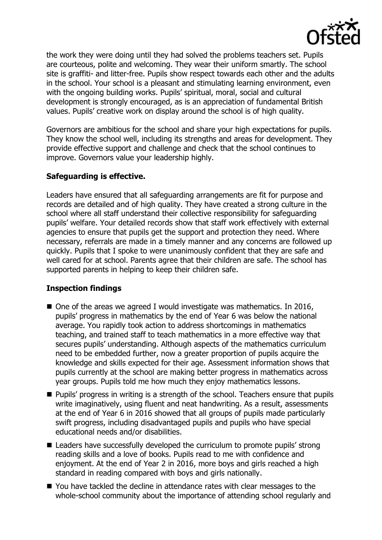

the work they were doing until they had solved the problems teachers set. Pupils are courteous, polite and welcoming. They wear their uniform smartly. The school site is graffiti- and litter-free. Pupils show respect towards each other and the adults in the school. Your school is a pleasant and stimulating learning environment, even with the ongoing building works. Pupils' spiritual, moral, social and cultural development is strongly encouraged, as is an appreciation of fundamental British values. Pupils' creative work on display around the school is of high quality.

Governors are ambitious for the school and share your high expectations for pupils. They know the school well, including its strengths and areas for development. They provide effective support and challenge and check that the school continues to improve. Governors value your leadership highly.

# **Safeguarding is effective.**

Leaders have ensured that all safeguarding arrangements are fit for purpose and records are detailed and of high quality. They have created a strong culture in the school where all staff understand their collective responsibility for safeguarding pupils' welfare. Your detailed records show that staff work effectively with external agencies to ensure that pupils get the support and protection they need. Where necessary, referrals are made in a timely manner and any concerns are followed up quickly. Pupils that I spoke to were unanimously confident that they are safe and well cared for at school. Parents agree that their children are safe. The school has supported parents in helping to keep their children safe.

## **Inspection findings**

- One of the areas we agreed I would investigate was mathematics. In 2016, pupils' progress in mathematics by the end of Year 6 was below the national average. You rapidly took action to address shortcomings in mathematics teaching, and trained staff to teach mathematics in a more effective way that secures pupils' understanding. Although aspects of the mathematics curriculum need to be embedded further, now a greater proportion of pupils acquire the knowledge and skills expected for their age. Assessment information shows that pupils currently at the school are making better progress in mathematics across year groups. Pupils told me how much they enjoy mathematics lessons.
- **Pupils' progress in writing is a strength of the school. Teachers ensure that pupils** write imaginatively, using fluent and neat handwriting. As a result, assessments at the end of Year 6 in 2016 showed that all groups of pupils made particularly swift progress, including disadvantaged pupils and pupils who have special educational needs and/or disabilities.
- Leaders have successfully developed the curriculum to promote pupils' strong reading skills and a love of books. Pupils read to me with confidence and enjoyment. At the end of Year 2 in 2016, more boys and girls reached a high standard in reading compared with boys and girls nationally.
- You have tackled the decline in attendance rates with clear messages to the whole-school community about the importance of attending school regularly and